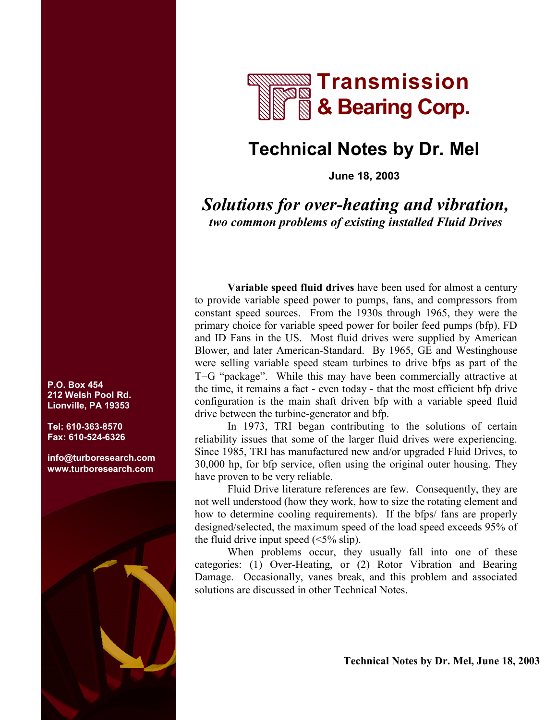

## **Technical Notes by Dr. Mel**

**June 18, 2003** 

*Solutions for over-heating and vibration, two common problems of existing installed Fluid Drives*

**Variable speed fluid drives** have been used for almost a century to provide variable speed power to pumps, fans, and compressors from constant speed sources. From the 1930s through 1965, they were the primary choice for variable speed power for boiler feed pumps (bfp), FD and ID Fans in the US. Most fluid drives were supplied by American Blower, and later American-Standard. By 1965, GE and Westinghouse were selling variable speed steam turbines to drive bfps as part of the T−G "package". While this may have been commercially attractive at the time, it remains a fact - even today - that the most efficient bfp drive configuration is the main shaft driven bfp with a variable speed fluid drive between the turbine-generator and bfp.

In 1973, TRI began contributing to the solutions of certain reliability issues that some of the larger fluid drives were experiencing. Since 1985, TRI has manufactured new and/or upgraded Fluid Drives, to 30,000 hp, for bfp service, often using the original outer housing. They have proven to be very reliable.

Fluid Drive literature references are few. Consequently, they are not well understood (how they work, how to size the rotating element and how to determine cooling requirements). If the bfps/ fans are properly designed/selected, the maximum speed of the load speed exceeds 95% of the fluid drive input speed  $(\leq 5\% \text{ slip})$ .

When problems occur, they usually fall into one of these categories: (1) Over-Heating, or (2) Rotor Vibration and Bearing Damage. Occasionally, vanes break, and this problem and associated solutions are discussed in other Technical Notes.

**P.O. Box 454 212 Welsh Pool Rd. Lionville, PA 19353** 

**Tel: 610-363-8570 Fax: 610-524-6326** 

**info@turboresearch.com [www.turboresearch.com](http://www.turboresearch.com/gateway.asp?key=20030618a)**



 **Technical Notes by Dr. Mel, June 18, 2003**